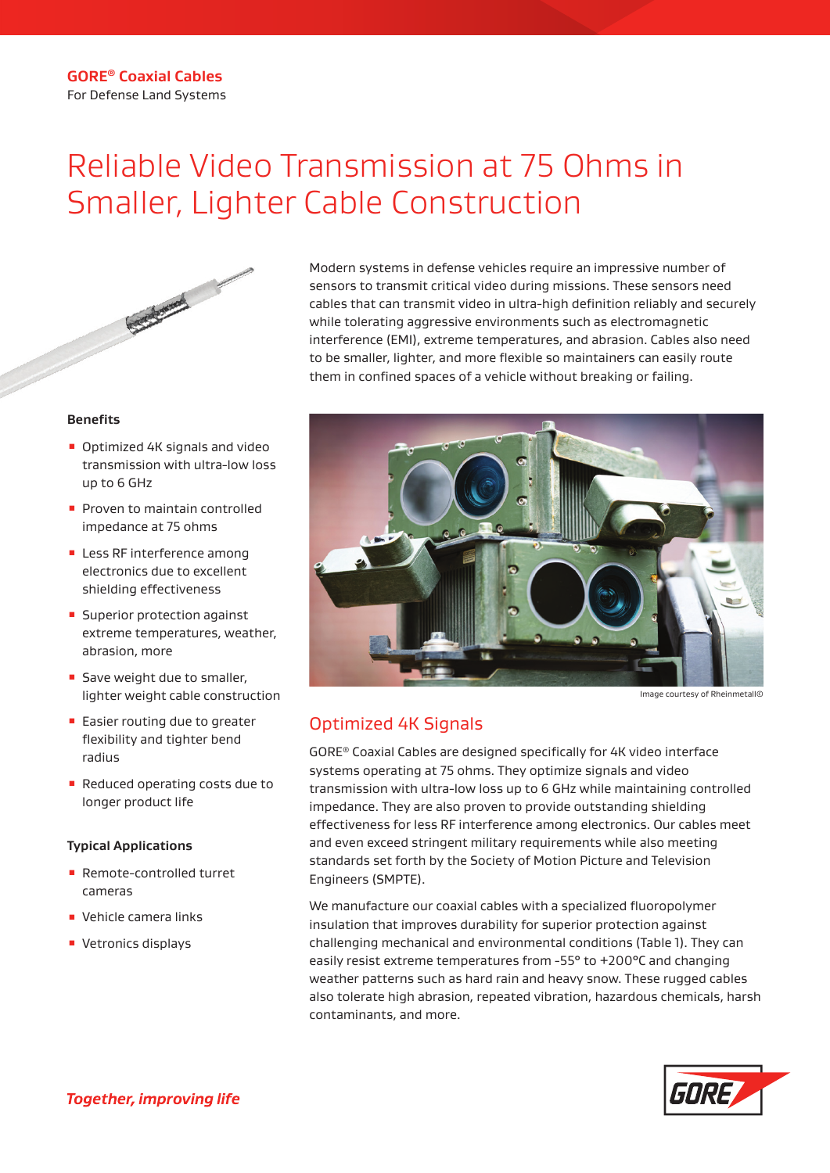# Reliable Video Transmission at 75 Ohms in Smaller, Lighter Cable Construction



#### **Benefits**

- Optimized 4K signals and video transmission with ultra-low loss up to 6 GHz
- **Proven to maintain controlled** impedance at 75 ohms
- **EXEC** Less RF interference among electronics due to excellent shielding effectiveness
- **E** Superior protection against extreme temperatures, weather, abrasion, more
- **B** Save weight due to smaller, lighter weight cable construction
- Easier routing due to greater flexibility and tighter bend radius
- Reduced operating costs due to longer product life

## **Typical Applications**

- Remote-controlled turret cameras
- Vehicle camera links
- Vetronics displays

Modern systems in defense vehicles require an impressive number of sensors to transmit critical video during missions. These sensors need cables that can transmit video in ultra-high definition reliably and securely while tolerating aggressive environments such as electromagnetic interference (EMI), extreme temperatures, and abrasion. Cables also need to be smaller, lighter, and more flexible so maintainers can easily route them in confined spaces of a vehicle without breaking or failing.



Image courtesy of Rheinmetall©

# Optimized 4K Signals

GORE® Coaxial Cables are designed specifically for 4K video interface systems operating at 75 ohms. They optimize signals and video transmission with ultra-low loss up to 6 GHz while maintaining controlled impedance. They are also proven to provide outstanding shielding effectiveness for less RF interference among electronics. Our cables meet and even exceed stringent military requirements while also meeting standards set forth by the Society of Motion Picture and Television Engineers (SMPTE).

We manufacture our coaxial cables with a specialized fluoropolymer insulation that improves durability for superior protection against challenging mechanical and environmental conditions (Table 1). They can easily resist extreme temperatures from -55° to +200°C and changing weather patterns such as hard rain and heavy snow. These rugged cables also tolerate high abrasion, repeated vibration, hazardous chemicals, harsh contaminants, and more.

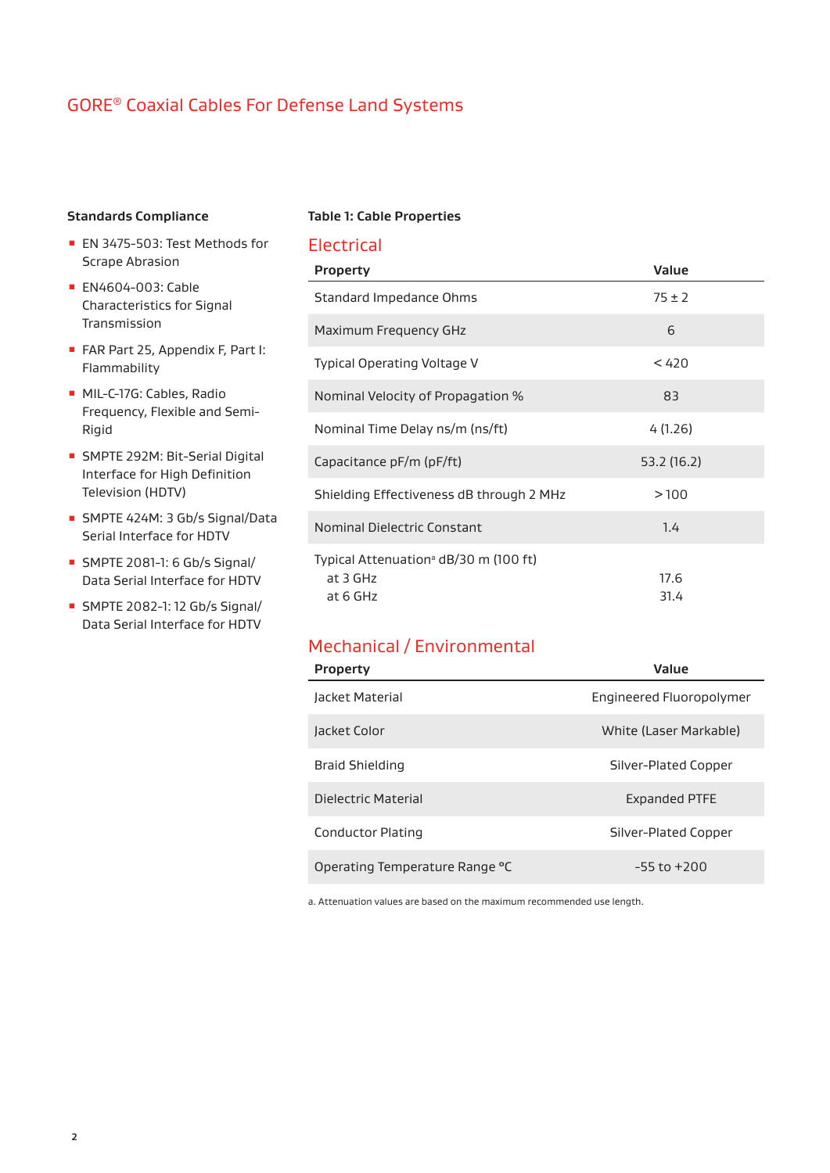## GORE® Coaxial Cables For Defense Land Systems

#### **Standards Compliance**

- EN 3475-503: Test Methods for Scrape Abrasion
- EN4604-003: Cable Characteristics for Signal Transmission
- FAR Part 25, Appendix F, Part I: Flammability
- **· MIL-C-17G: Cables, Radio** Frequency, Flexible and Semi-Rigid
- **B** SMPTE 292M: Bit-Serial Digital Interface for High Definition Television (HDTV)
- **B** SMPTE 424M: 3 Gb/s Signal/Data Serial Interface for HDTV
- $\blacksquare$  SMPTE 2081-1: 6 Gb/s Signal/ Data Serial Interface for HDTV
- **SMPTE 2082-1: 12 Gb/s Signal/** Data Serial Interface for HDTV

#### **Table 1: Cable Properties**

## Electrical

| <b>Property</b>                                                           | Value        |
|---------------------------------------------------------------------------|--------------|
| Standard Impedance Ohms                                                   | $75 \pm 2$   |
| Maximum Frequency GHz                                                     | 6            |
| Typical Operating Voltage V                                               | < 420        |
| Nominal Velocity of Propagation %                                         | 83           |
| Nominal Time Delay ns/m (ns/ft)                                           | 4(1.26)      |
| Capacitance pF/m (pF/ft)                                                  | 53.2 (16.2)  |
| Shielding Effectiveness dB through 2 MHz                                  | >100         |
| Nominal Dielectric Constant                                               | 1.4          |
| Typical Attenuation <sup>a</sup> dB/30 m (100 ft)<br>at 3 GHz<br>at 6 GHz | 17.6<br>31.4 |

## Mechanical / Environmental

| <b>Property</b>                | Value                    |
|--------------------------------|--------------------------|
| Jacket Material                | Engineered Fluoropolymer |
| Jacket Color                   | White (Laser Markable)   |
| <b>Braid Shielding</b>         | Silver-Plated Copper     |
| Dielectric Material            | <b>Expanded PTFE</b>     |
| <b>Conductor Plating</b>       | Silver-Plated Copper     |
| Operating Temperature Range °C | $-55$ to $+200$          |

a. Attenuation values are based on the maximum recommended use length.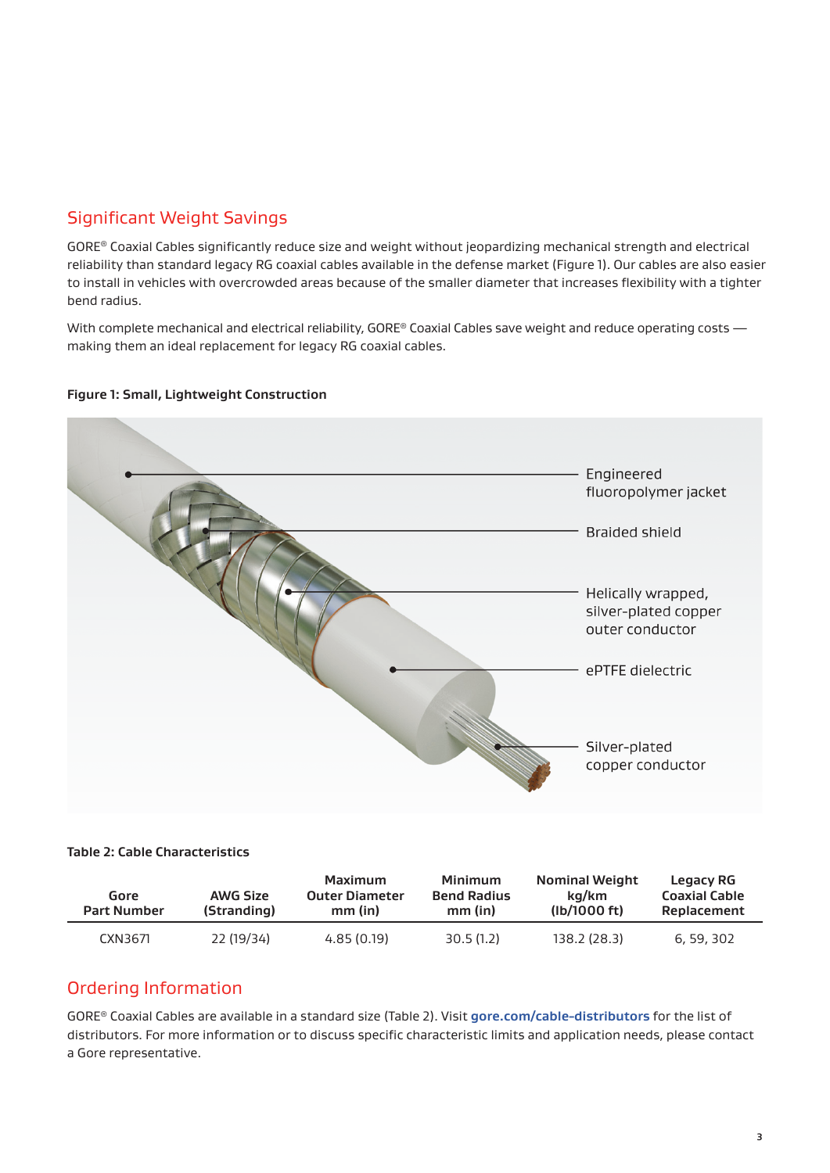# Significant Weight Savings

GORE® Coaxial Cables significantly reduce size and weight without jeopardizing mechanical strength and electrical reliability than standard legacy RG coaxial cables available in the defense market (Figure 1). Our cables are also easier to install in vehicles with overcrowded areas because of the smaller diameter that increases flexibility with a tighter bend radius.

With complete mechanical and electrical reliability, GORE® Coaxial Cables save weight and reduce operating costs making them an ideal replacement for legacy RG coaxial cables.



## **Figure 1: Small, Lightweight Construction**

## **Table 2: Cable Characteristics**

| Gore<br><b>Part Number</b> | AWG Size<br>(Stranding) | Maximum<br><b>Outer Diameter</b><br>$mm$ (in) | Minimum<br><b>Bend Radius</b><br>mm (in) | <b>Nominal Weight</b><br>ka/km<br>$(lb/1000 \text{ ft})$ | Legacy RG<br><b>Coaxial Cable</b><br>Replacement |
|----------------------------|-------------------------|-----------------------------------------------|------------------------------------------|----------------------------------------------------------|--------------------------------------------------|
| CXN3671                    | 22 (19/34)              | 4.85(0.19)                                    | 30.5(1.2)                                | 138.2(28.3)                                              | 6, 59, 302                                       |

## Ordering Information

GORE® Coaxial Cables are available in a standard size (Table 2). Visit **[gore.com/cable-distributors](http://gore.com/cable-distributors)** for the list of distributors. For more information or to discuss specific characteristic limits and application needs, please contact a Gore representative.